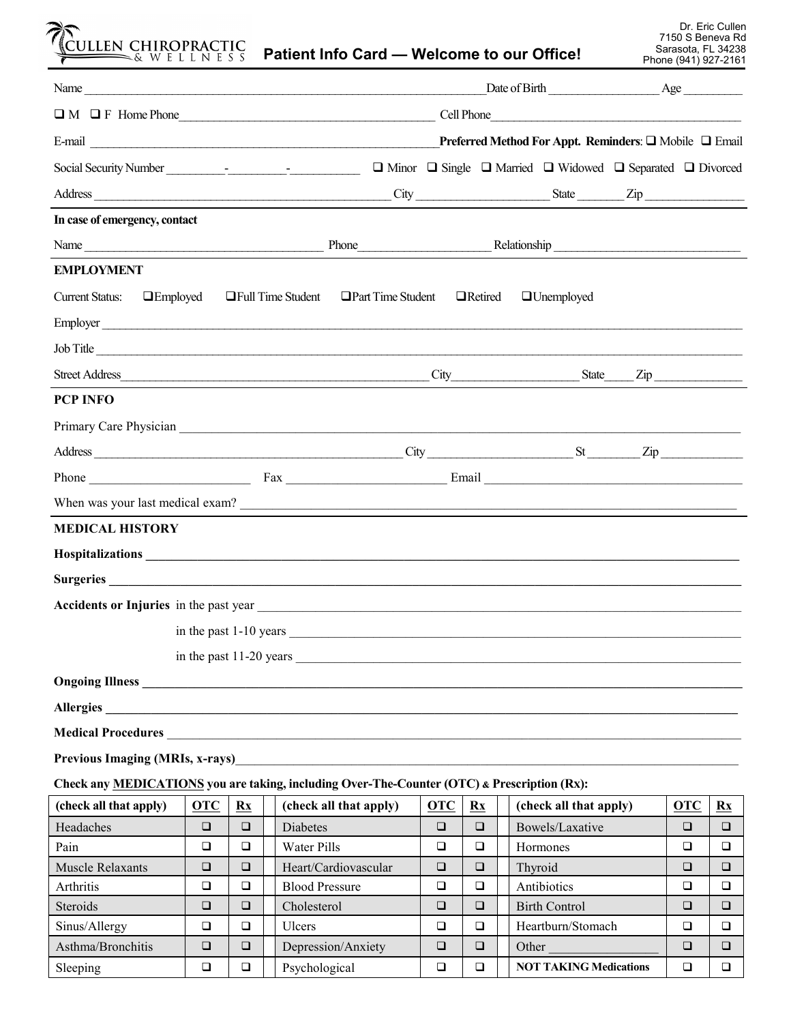| CULLEN CHIROPRACTIC                                                                                                   |            |                        |                       | Patient Info Card - Welcome to our Office!                         |            |                        |                                                                                           | Phone (941) 927-2161 | Dr. Eric Cullen<br>7150 S Beneva Rd<br>Sarasota, FL 34238 |
|-----------------------------------------------------------------------------------------------------------------------|------------|------------------------|-----------------------|--------------------------------------------------------------------|------------|------------------------|-------------------------------------------------------------------------------------------|----------------------|-----------------------------------------------------------|
|                                                                                                                       |            |                        |                       |                                                                    |            |                        |                                                                                           |                      |                                                           |
|                                                                                                                       |            |                        |                       |                                                                    |            |                        |                                                                                           |                      |                                                           |
|                                                                                                                       |            |                        |                       |                                                                    |            |                        |                                                                                           |                      |                                                           |
| Social Security Number<br><u>Leadenborn and the security Number</u>                                                   |            |                        |                       |                                                                    |            |                        | $\Box$ Minor $\Box$ Single $\Box$ Married $\Box$ Widowed $\Box$ Separated $\Box$ Divorced |                      |                                                           |
|                                                                                                                       |            |                        |                       |                                                                    |            |                        | $City$ $Zip$                                                                              |                      |                                                           |
| In case of emergency, contact                                                                                         |            |                        |                       |                                                                    |            |                        |                                                                                           |                      |                                                           |
| Name Relationship Relationship                                                                                        |            |                        |                       |                                                                    |            |                        |                                                                                           |                      |                                                           |
| <b>EMPLOYMENT</b>                                                                                                     |            |                        |                       |                                                                    |            |                        |                                                                                           |                      |                                                           |
| <b>Current Status:</b><br>$\Box$ Employed                                                                             |            |                        | □ Full Time Student   | $\Box$ Part Time Student                                           |            | $\Box$ Retired         | $\Box$ Unemployed                                                                         |                      |                                                           |
|                                                                                                                       |            |                        |                       |                                                                    |            |                        |                                                                                           |                      |                                                           |
| Employer                                                                                                              |            |                        |                       |                                                                    |            |                        |                                                                                           |                      |                                                           |
| Job Title                                                                                                             |            |                        |                       |                                                                    |            |                        |                                                                                           |                      |                                                           |
|                                                                                                                       |            |                        |                       |                                                                    |            |                        |                                                                                           |                      |                                                           |
| <b>PCP INFO</b>                                                                                                       |            |                        |                       |                                                                    |            |                        |                                                                                           |                      |                                                           |
|                                                                                                                       |            |                        |                       |                                                                    |            |                        |                                                                                           |                      |                                                           |
|                                                                                                                       |            |                        |                       |                                                                    |            |                        |                                                                                           |                      |                                                           |
|                                                                                                                       |            |                        |                       |                                                                    |            |                        |                                                                                           |                      |                                                           |
| When was your last medical exam?                                                                                      |            |                        |                       |                                                                    |            |                        |                                                                                           |                      |                                                           |
| <b>MEDICAL HISTORY</b>                                                                                                |            |                        |                       |                                                                    |            |                        |                                                                                           |                      |                                                           |
|                                                                                                                       |            |                        |                       |                                                                    |            |                        |                                                                                           |                      |                                                           |
| Surgeries                                                                                                             |            |                        |                       |                                                                    |            |                        |                                                                                           |                      |                                                           |
|                                                                                                                       |            |                        |                       |                                                                    |            |                        |                                                                                           |                      |                                                           |
|                                                                                                                       |            |                        |                       |                                                                    |            |                        |                                                                                           |                      |                                                           |
|                                                                                                                       |            |                        |                       |                                                                    |            |                        |                                                                                           |                      |                                                           |
|                                                                                                                       |            |                        |                       |                                                                    |            |                        |                                                                                           |                      |                                                           |
| Allergies                                                                                                             |            |                        |                       |                                                                    |            |                        |                                                                                           |                      |                                                           |
|                                                                                                                       |            |                        |                       |                                                                    |            |                        |                                                                                           |                      |                                                           |
| <b>Previous Imaging (MRIs, x-rays)</b>                                                                                |            |                        |                       |                                                                    |            |                        |                                                                                           |                      |                                                           |
|                                                                                                                       |            |                        |                       | <u> 1989 - Johann John Stein, mars an deutscher Stein († 1958)</u> |            |                        |                                                                                           |                      |                                                           |
| Check any MEDICATIONS you are taking, including Over-The-Counter (OTC) & Prescription (Rx):<br>(check all that apply) | <b>OTC</b> | $\mathbf{R}\mathbf{x}$ |                       | (check all that apply)                                             | <b>OTC</b> | $\mathbf{R}\mathbf{x}$ | (check all that apply)                                                                    | <b>OTC</b>           | $\mathbf{R}\mathbf{x}$                                    |
| Headaches                                                                                                             | $\Box$     | $\Box$                 | Diabetes              |                                                                    | $\Box$     | $\Box$                 | Bowels/Laxative                                                                           | $\Box$               | $\Box$                                                    |
| Pain                                                                                                                  | $\Box$     | $\Box$                 | Water Pills           |                                                                    | $\Box$     | $\Box$                 | Hormones                                                                                  | $\Box$               | $\Box$                                                    |
| Muscle Relaxants                                                                                                      | $\Box$     | $\Box$                 |                       | Heart/Cardiovascular                                               | $\Box$     | $\Box$                 | Thyroid                                                                                   | $\Box$               | $\Box$                                                    |
| Arthritis                                                                                                             | $\Box$     | $\Box$                 | <b>Blood Pressure</b> |                                                                    | $\Box$     | $\Box$                 | Antibiotics                                                                               | $\Box$               | $\Box$                                                    |
| Steroids                                                                                                              | $\Box$     | $\Box$                 | Cholesterol           |                                                                    | $\Box$     | $\Box$                 | <b>Birth Control</b>                                                                      | $\Box$               | $\Box$                                                    |
| Sinus/Allergy                                                                                                         | $\Box$     | □                      | Ulcers                |                                                                    | $\Box$     | $\Box$                 | Heartburn/Stomach                                                                         | $\Box$               | ❏                                                         |
| Asthma/Bronchitis                                                                                                     | $\Box$     | $\Box$                 |                       | Depression/Anxiety                                                 | $\Box$     | $\Box$                 | Other                                                                                     | $\Box$               | $\Box$                                                    |

Sleeping ❑ ❑ Psychological ❑ ❑ **NOT TAKING Medications** ❑ ❑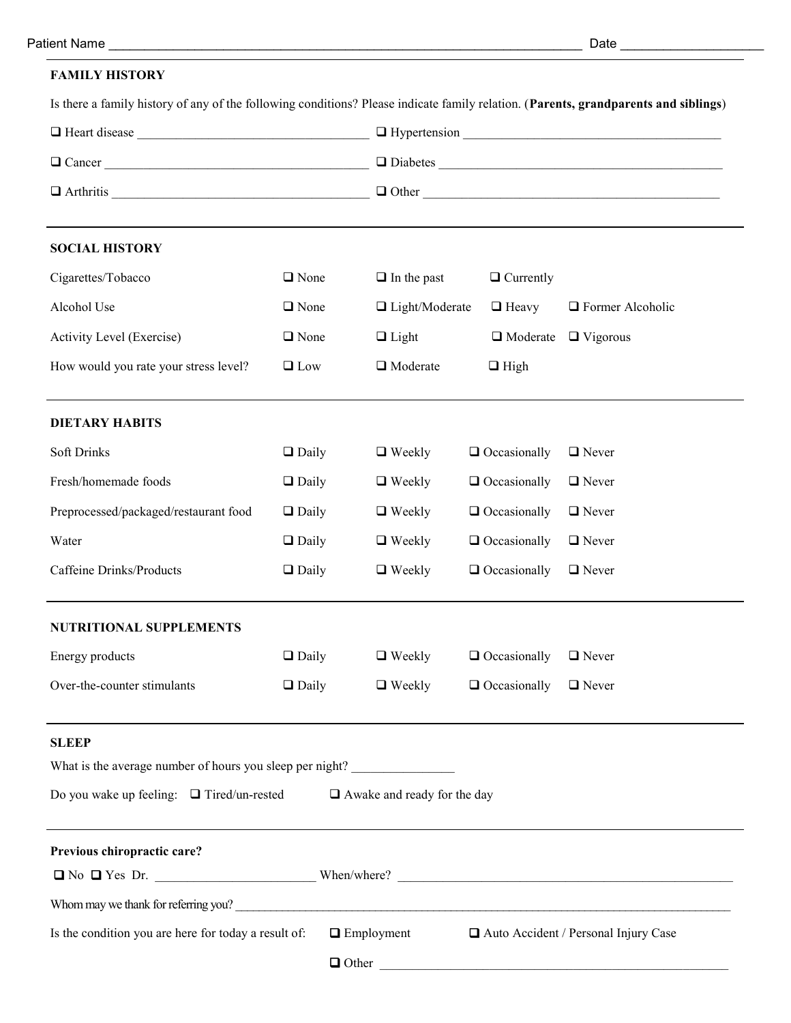# **FAMILY HISTORY**

| Is there a family history of any of the following conditions? Please indicate family relation. (Parents, grandparents and siblings) |              |                                    |                     |                         |  |  |  |
|-------------------------------------------------------------------------------------------------------------------------------------|--------------|------------------------------------|---------------------|-------------------------|--|--|--|
|                                                                                                                                     |              |                                    |                     |                         |  |  |  |
| $\Box$ Cancer                                                                                                                       |              |                                    |                     |                         |  |  |  |
|                                                                                                                                     |              |                                    |                     |                         |  |  |  |
|                                                                                                                                     |              |                                    |                     |                         |  |  |  |
| <b>SOCIAL HISTORY</b>                                                                                                               |              |                                    |                     |                         |  |  |  |
| Cigarettes/Tobacco                                                                                                                  | $\Box$ None  | $\Box$ In the past                 | $\Box$ Currently    |                         |  |  |  |
| Alcohol Use                                                                                                                         | $\Box$ None  | $\Box$ Light/Moderate              | $\Box$ Heavy        | $\Box$ Former Alcoholic |  |  |  |
| Activity Level (Exercise)                                                                                                           | $\Box$ None  | $\Box$ Light                       | $\Box$ Moderate     | $\Box$ Vigorous         |  |  |  |
| How would you rate your stress level?                                                                                               | $\Box$ Low   | $\Box$ Moderate                    | $\Box$ High         |                         |  |  |  |
| <b>DIETARY HABITS</b>                                                                                                               |              |                                    |                     |                         |  |  |  |
| <b>Soft Drinks</b>                                                                                                                  | $\Box$ Daily | $\Box$ Weekly                      | $\Box$ Occasionally | $\Box$ Never            |  |  |  |
| Fresh/homemade foods                                                                                                                | $\Box$ Daily | $\Box$ Weekly                      | $\Box$ Occasionally | $\Box$ Never            |  |  |  |
| Preprocessed/packaged/restaurant food                                                                                               | $\Box$ Daily | $\Box$ Weekly                      | $\Box$ Occasionally | $\Box$ Never            |  |  |  |
| Water                                                                                                                               | $\Box$ Daily | $\Box$ Weekly                      | $\Box$ Occasionally | $\Box$ Never            |  |  |  |
| <b>Caffeine Drinks/Products</b>                                                                                                     | $\Box$ Daily | $\Box$ Weekly                      | $\Box$ Occasionally | $\Box$ Never            |  |  |  |
| <b>NUTRITIONAL SUPPLEMENTS</b>                                                                                                      |              |                                    |                     |                         |  |  |  |
| Energy products                                                                                                                     | $\Box$ Daily | $\Box$ Weekly                      | $\Box$ Occasionally | $\Box$ Never            |  |  |  |
| Over-the-counter stimulants                                                                                                         | $\Box$ Daily | $\Box$ Weekly                      | $\Box$ Occasionally | $\Box$ Never            |  |  |  |
| <b>SLEEP</b>                                                                                                                        |              |                                    |                     |                         |  |  |  |
| What is the average number of hours you sleep per night?                                                                            |              |                                    |                     |                         |  |  |  |
| Do you wake up feeling: $\Box$ Tired/un-rested                                                                                      |              | $\Box$ Awake and ready for the day |                     |                         |  |  |  |
| Previous chiropractic care?                                                                                                         |              |                                    |                     |                         |  |  |  |
|                                                                                                                                     |              |                                    |                     |                         |  |  |  |
| Whom may we thank for referring you?                                                                                                |              |                                    |                     |                         |  |  |  |
| Is the condition you are here for today a result of:<br>$\Box$ Employment<br>Auto Accident / Personal Injury Case                   |              |                                    |                     |                         |  |  |  |
|                                                                                                                                     |              |                                    |                     | $\Box$ Other            |  |  |  |
|                                                                                                                                     |              |                                    |                     |                         |  |  |  |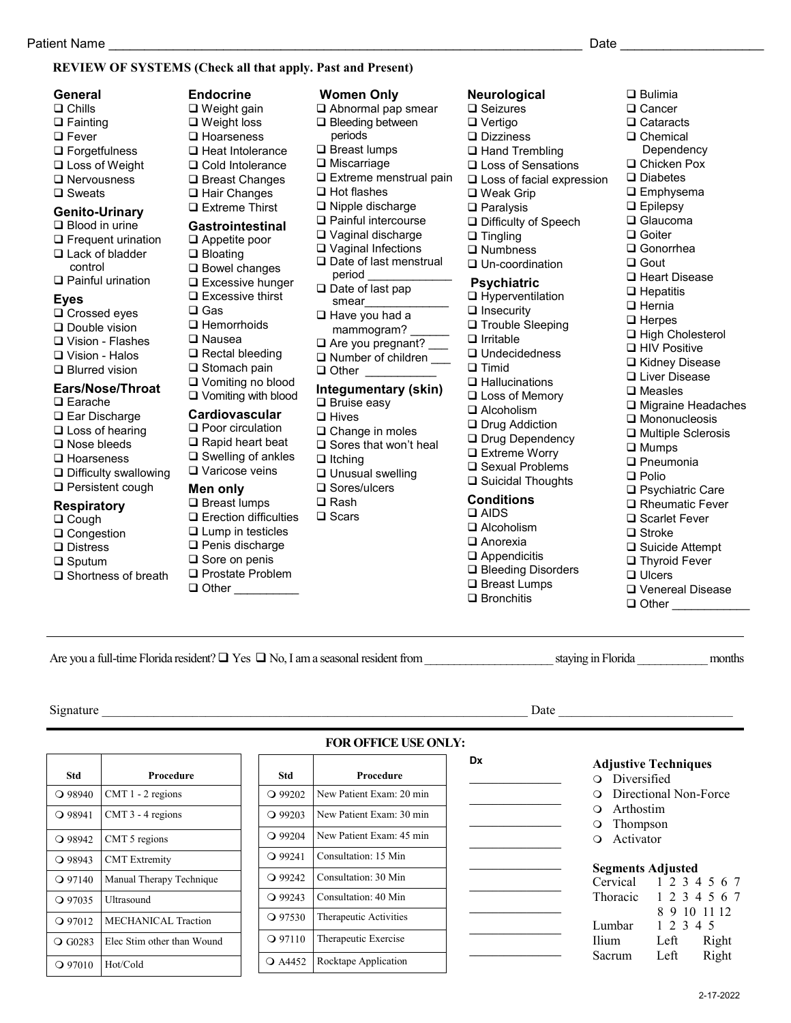# **REVIEW OF SYSTEMS (Check all that apply. Past and Present)**

# **General**

- ❑ Chills ❑ Fainting ❑ Fever
- ❑ Forgetfulness
- ❑ Loss of Weight
- ❑ Nervousness
- ❑ Sweats

#### **Genito-Urinary** ❑ Blood in urine

- ❑ Frequent urination ❑ Lack of bladder control
- ❑ Painful urination

# **Eyes**

- ❑ Crossed eyes
- ❑ Double vision
- ❑ Vision Flashes
- ❑ Vision Halos
- ❑ Blurred vision

# **Ears/Nose/Throat**

- ❑ Earache
- ❑ Ear Discharge
- ❑ Loss of hearing
- ❑ Nose bleeds
- ❑ Hoarseness
- ❑ Difficulty swallowing
- ❑ Persistent cough

## **Respiratory**

- ❑ Cough
- ❑ Congestion
- ❑ Distress
- ❑ Sputum
- ❑ Shortness of breath

**Std Procedure**  $\bigcirc$  98940 CMT 1 - 2 regions  $\bigcirc$  98941 CMT 3 - 4 regions  $\bigcirc$  98942 CMT 5 regions Q 98943 CMT Extremity

97140 Manual Therapy Technique

Q 97012 MECHANICAL Traction G0283 Elec Stim other than Wound

97035 Ultrasound

97010 Hot/Cold

### **Endocrine** ❑ Weight gain ❑ Weight loss ❑ Hoarseness ❑ Heat Intolerance ❑ Cold Intolerance ❑ Breast Changes ❑ Hair Changes ❑ Extreme Thirst

- **Gastrointestinal**
- ❑ Appetite poor ❑ Bloating
- ❑ Bowel changes
- ❑ Excessive hunger
- ❑ Excessive thirst
- ❑ Gas
- ❑ Hemorrhoids
- ❑ Nausea
- ❑ Rectal bleeding
- ❑ Stomach pain
- ❑ Vomiting no blood
- ❑ Vomiting with blood

#### **Cardiovascular** ❑ Poor circulation

- ❑ Rapid heart beat
- ❑ Swelling of ankles
- ❑ Varicose veins

# **Men only**

- ❑ Breast lumps ❑ Erection difficulties ❑ Lump in testicles ❑ Penis discharge ❑ Sore on penis
- ❑ Prostate Problem ❑ Other \_\_\_\_\_\_\_\_\_\_
- **Women Only**
- ❑ Abnormal pap smear
- ❑ Bleeding between
- periods ❑ Breast lumps
- ❑ Miscarriage
- ❑ Extreme menstrual pain
- ❑ Hot flashes
- ❑ Nipple discharge
- ❑ Painful intercourse
- ❑ Vaginal discharge
- ❑ Vaginal Infections
- ❑ Date of last menstrual period
- ❑ Date of last pap
- smear\_\_\_\_\_\_\_\_\_\_\_\_\_ ❑ Have you had a
- mammogram?
- □ Are you pregnant?
- □ Number of children
- ❑ Other \_\_\_\_\_\_\_\_\_\_\_

# **Integumentary (skin)**

Are you a full-time Florida resident? ❑ Yes ❑ No, I am a seasonal resident from \_\_\_\_\_\_\_\_\_\_\_\_\_\_\_\_\_\_\_\_\_\_ staying in Florida \_\_\_\_\_\_\_\_\_\_\_\_ months

**FOR OFFICE USE ONLY:**

**Dx**

 $\mathcal{L}$  , we have the set of the set of the set of the set of the set of the set of the set of the set of the set of the set of the set of the set of the set of the set of the set of the set of the set of the set of the  $\mathcal{L}_\text{max}$  and  $\mathcal{L}_\text{max}$  and  $\mathcal{L}_\text{max}$  $\mathcal{L}$  , we have the set of the set of the set of the set of the set of the set of the set of the set of the set of the set of the set of the set of the set of the set of the set of the set of the set of the set of the  $\mathcal{L}_\text{max}$  and  $\mathcal{L}_\text{max}$  and  $\mathcal{L}_\text{max}$  $\mathcal{L}$  , we have the set of the set of the set of the set of the set of the set of the set of the set of the set of the set of the set of the set of the set of the set of the set of the set of the set of the set of the  $\mathcal{L}_\text{max}$  and  $\mathcal{L}_\text{max}$  and  $\mathcal{L}_\text{max}$  $\mathcal{L}_\text{max}$  and  $\mathcal{L}_\text{max}$  and  $\mathcal{L}_\text{max}$  $\mathcal{L}$  , we have the set of the set of the set of the set of the set of the set of the set of the set of the set of the set of the set of the set of the set of the set of the set of the set of the set of the set of the \_\_\_\_\_\_\_\_\_\_\_\_\_\_\_\_

- ❑ Bruise easy
- ❑ Hives
- ❑ Change in moles ❑ Sores that won't heal
- ❑ Itching
- ❑ Unusual swelling
- ❑ Sores/ulcers
- ❑ Rash
- ❑ Scars

Signature \_\_\_\_\_\_\_\_\_\_\_\_\_\_\_\_\_\_\_\_\_\_\_\_\_\_\_\_\_\_\_\_\_\_\_\_\_\_\_\_\_\_\_\_\_\_\_\_\_\_\_\_\_\_\_\_\_\_\_\_\_\_\_\_\_\_ Date \_\_\_\_\_\_\_\_\_\_\_\_\_\_\_\_\_\_\_\_\_\_\_\_\_\_\_

**Std Procedure** 99202 New Patient Exam: 20 min 99203 New Patient Exam: 30 min 99204 New Patient Exam: 45 min Q 99241 Consultation: 15 Min 99242 Consultation: 30 Min 99243 Consultation: 40 Min 97530 Therapeutic Activities Q 97110 Therapeutic Exercise Q A4452 Rocktape Application

## **Neurological**

- ❑ Seizures ❑ Vertigo
- ❑ Dizziness
- □ Hand Trembling
- ❑ Loss of Sensations
- ❑ Loss of facial expression

❑ Bulimia ❑ Cancer ❑ Cataracts ❑ Chemical Dependency ❑ Chicken Pox ❑ Diabetes ❑ Emphysema ❑ Epilepsy ❑ Glaucoma ❑ Goiter ❑ Gonorrhea ❑ Gout

❑ Heart Disease ❑ Hepatitis ❑ Hernia ❑ Herpes

❑ High Cholesterol ❑ HIV Positive ❑ Kidney Disease ❑ Liver Disease ❑ Measles

❑ Migraine Headaches ❑ Mononucleosis ❑ Multiple Sclerosis

❑ Psychiatric Care ❑ Rheumatic Fever ❑ Scarlet Fever ❑ Stroke

❑ Suicide Attempt ❑ Thyroid Fever ❑ Ulcers

❑ Venereal Disease ❑ Other \_\_\_\_\_\_\_\_\_\_\_\_

**Adjustive Techniques** Diversified

**Segments Adjusted** Cervical 1 2 3 4 5 6 7 Thoracic 1 2 3 4 5 6 7

Lumbar 1 2 3 4 5 Ilium Left Right Sacrum Left Right

 Arthostim Thompson Activator

Directional Non-Force

2-17-2022

8 9 10 11 12

❑ Mumps ❑ Pneumonia ❑ Polio

- ❑ Weak Grip
- ❑ Paralysis
- ❑ Difficulty of Speech
- ❑ Tingling ❑ Numbness
- ❑ Un-coordination

### **Psychiatric**

- ❑ Hyperventilation
- ❑ Insecurity
- ❑ Trouble Sleeping
- ❑ Irritable
- ❑ Undecidedness
- ❑ Timid
- ❑ Hallucinations ❑ Loss of Memory
- 
- ❑ Alcoholism
- ❑ Drug Addiction ❑ Drug Dependency ❑ Extreme Worry

❑ Sexual Problems ❑ Suicidal Thoughts **Conditions** ❑ AIDS ❑ Alcoholism ❑ Anorexia ❑ Appendicitis ❑ Bleeding Disorders ❑ Breast Lumps ❑ Bronchitis